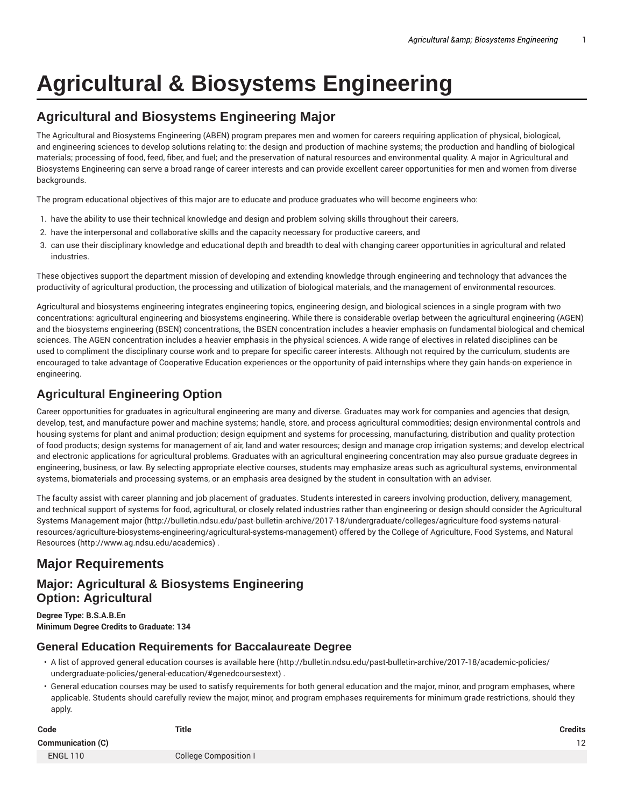# **Agricultural & Biosystems Engineering**

# **Agricultural and Biosystems Engineering Major**

The Agricultural and Biosystems Engineering (ABEN) program prepares men and women for careers requiring application of physical, biological, and engineering sciences to develop solutions relating to: the design and production of machine systems; the production and handling of biological materials; processing of food, feed, fiber, and fuel; and the preservation of natural resources and environmental quality. A major in Agricultural and Biosystems Engineering can serve a broad range of career interests and can provide excellent career opportunities for men and women from diverse backgrounds.

The program educational objectives of this major are to educate and produce graduates who will become engineers who:

- 1. have the ability to use their technical knowledge and design and problem solving skills throughout their careers,
- 2. have the interpersonal and collaborative skills and the capacity necessary for productive careers, and
- 3. can use their disciplinary knowledge and educational depth and breadth to deal with changing career opportunities in agricultural and related industries.

These objectives support the department mission of developing and extending knowledge through engineering and technology that advances the productivity of agricultural production, the processing and utilization of biological materials, and the management of environmental resources.

Agricultural and biosystems engineering integrates engineering topics, engineering design, and biological sciences in a single program with two concentrations: agricultural engineering and biosystems engineering. While there is considerable overlap between the agricultural engineering (AGEN) and the biosystems engineering (BSEN) concentrations, the BSEN concentration includes a heavier emphasis on fundamental biological and chemical sciences. The AGEN concentration includes a heavier emphasis in the physical sciences. A wide range of electives in related disciplines can be used to compliment the disciplinary course work and to prepare for specific career interests. Although not required by the curriculum, students are encouraged to take advantage of Cooperative Education experiences or the opportunity of paid internships where they gain hands-on experience in engineering.

# **Agricultural Engineering Option**

Career opportunities for graduates in agricultural engineering are many and diverse. Graduates may work for companies and agencies that design, develop, test, and manufacture power and machine systems; handle, store, and process agricultural commodities; design environmental controls and housing systems for plant and animal production; design equipment and systems for processing, manufacturing, distribution and quality protection of food products; design systems for management of air, land and water resources; design and manage crop irrigation systems; and develop electrical and electronic applications for agricultural problems. Graduates with an agricultural engineering concentration may also pursue graduate degrees in engineering, business, or law. By selecting appropriate elective courses, students may emphasize areas such as agricultural systems, environmental systems, biomaterials and processing systems, or an emphasis area designed by the student in consultation with an adviser.

The faculty assist with career planning and job placement of graduates. Students interested in careers involving production, delivery, management, and technical support of systems for food, agricultural, or closely related industries rather than engineering or design should consider the Agricultural Systems Management major (http://bulletin.ndsu.edu/past-bulletin-archive/2017-18/undergraduate/colleges/agriculture-food-systems-naturalresources/agriculture-biosystems-engineering/agricultural-systems-management) offered by the College of Agriculture, Food Systems, and Natural Resources (http://www.ag.ndsu.edu/academics) .

# **Major Requirements**

## **Major: Agricultural & Biosystems Engineering Option: Agricultural**

**Degree Type: B.S.A.B.En Minimum Degree Credits to Graduate: 134**

## **General Education Requirements for Baccalaureate Degree**

- A list of approved general education courses is available here (http://bulletin.ndsu.edu/past-bulletin-archive/2017-18/academic-policies/ undergraduate-policies/general-education/#genedcoursestext) .
- General education courses may be used to satisfy requirements for both general education and the major, minor, and program emphases, where applicable. Students should carefully review the major, minor, and program emphases requirements for minimum grade restrictions, should they apply.

| Code                     | <b>Title</b>                 | <b>Credits</b> |
|--------------------------|------------------------------|----------------|
| <b>Communication (C)</b> |                              | 12             |
| <b>ENGL 110</b>          | <b>College Composition I</b> |                |
|                          |                              |                |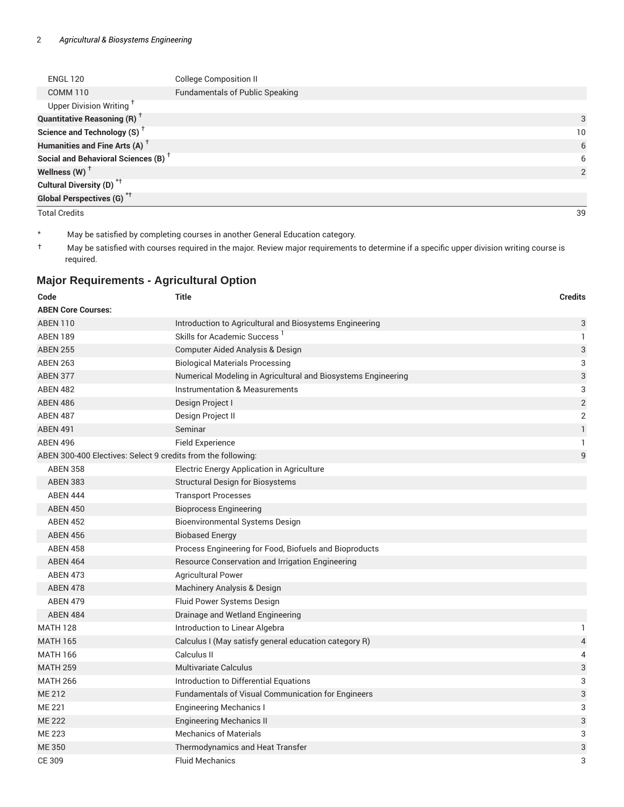| <b>ENGL 120</b>                                 | <b>College Composition II</b>          |                 |
|-------------------------------------------------|----------------------------------------|-----------------|
| <b>COMM 110</b>                                 | <b>Fundamentals of Public Speaking</b> |                 |
| Upper Division Writing                          |                                        |                 |
| <b>Quantitative Reasoning (R)</b> <sup>†</sup>  |                                        | 3               |
| Science and Technology (S) <sup>+</sup>         |                                        | 10 <sup>°</sup> |
| Humanities and Fine Arts (A) <sup>+</sup>       |                                        | 6               |
| Social and Behavioral Sciences (B) <sup>+</sup> |                                        | 6               |
| Wellness (W) $^{\dagger}$                       |                                        | $\mathcal{P}$   |
| Cultural Diversity (D) <sup>*†</sup>            |                                        |                 |
| <b>Global Perspectives (G)</b> * <sup>†</sup>   |                                        |                 |

Total Credits 39

\* May be satisfied by completing courses in another General Education category.

† May be satisfied with courses required in the major. Review major requirements to determine if a specific upper division writing course is required.

## **Major Requirements - Agricultural Option**

| Code                                                         | <b>Title</b>                                                  | <b>Credits</b>            |
|--------------------------------------------------------------|---------------------------------------------------------------|---------------------------|
| <b>ABEN Core Courses:</b>                                    |                                                               |                           |
| <b>ABEN 110</b>                                              | Introduction to Agricultural and Biosystems Engineering       | 3                         |
| <b>ABEN 189</b>                                              | Skills for Academic Success <sup>1</sup>                      | $\mathbf{1}$              |
| <b>ABEN 255</b>                                              | Computer Aided Analysis & Design                              | $\ensuremath{\mathsf{3}}$ |
| <b>ABEN 263</b>                                              | <b>Biological Materials Processing</b>                        | 3                         |
| <b>ABEN 377</b>                                              | Numerical Modeling in Agricultural and Biosystems Engineering | $\ensuremath{\mathsf{3}}$ |
| <b>ABEN 482</b>                                              | Instrumentation & Measurements                                | 3                         |
| <b>ABEN 486</b>                                              | Design Project I                                              | $\sqrt{2}$                |
| <b>ABEN 487</b>                                              | Design Project II                                             | $\overline{2}$            |
| <b>ABEN 491</b>                                              | Seminar                                                       | $\mathbf{1}$              |
| <b>ABEN 496</b>                                              | <b>Field Experience</b>                                       | $\mathbf{1}$              |
| ABEN 300-400 Electives: Select 9 credits from the following: |                                                               | $\mathsf g$               |
| <b>ABEN 358</b>                                              | Electric Energy Application in Agriculture                    |                           |
| <b>ABEN 383</b>                                              | <b>Structural Design for Biosystems</b>                       |                           |
| <b>ABEN 444</b>                                              | <b>Transport Processes</b>                                    |                           |
| <b>ABEN 450</b>                                              | <b>Bioprocess Engineering</b>                                 |                           |
| <b>ABEN 452</b>                                              | <b>Bioenvironmental Systems Design</b>                        |                           |
| <b>ABEN 456</b>                                              | <b>Biobased Energy</b>                                        |                           |
| <b>ABEN 458</b>                                              | Process Engineering for Food, Biofuels and Bioproducts        |                           |
| <b>ABEN 464</b>                                              | Resource Conservation and Irrigation Engineering              |                           |
| <b>ABEN 473</b>                                              | <b>Agricultural Power</b>                                     |                           |
| <b>ABEN 478</b>                                              | Machinery Analysis & Design                                   |                           |
| <b>ABEN 479</b>                                              | Fluid Power Systems Design                                    |                           |
| <b>ABEN 484</b>                                              | Drainage and Wetland Engineering                              |                           |
| <b>MATH 128</b>                                              | Introduction to Linear Algebra                                | 1                         |
| <b>MATH 165</b>                                              | Calculus I (May satisfy general education category R)         | 4                         |
| <b>MATH 166</b>                                              | Calculus II                                                   | 4                         |
| <b>MATH 259</b>                                              | <b>Multivariate Calculus</b>                                  | 3                         |
| <b>MATH 266</b>                                              | Introduction to Differential Equations                        | 3                         |
| <b>ME 212</b>                                                | Fundamentals of Visual Communication for Engineers            | 3                         |
| <b>ME 221</b>                                                | <b>Engineering Mechanics I</b>                                | 3                         |
| <b>ME 222</b>                                                | <b>Engineering Mechanics II</b>                               | $\ensuremath{\mathsf{3}}$ |
| <b>ME 223</b>                                                | <b>Mechanics of Materials</b>                                 | 3                         |
| <b>ME350</b>                                                 | Thermodynamics and Heat Transfer                              | 3                         |
| CE 309                                                       | <b>Fluid Mechanics</b>                                        | 3                         |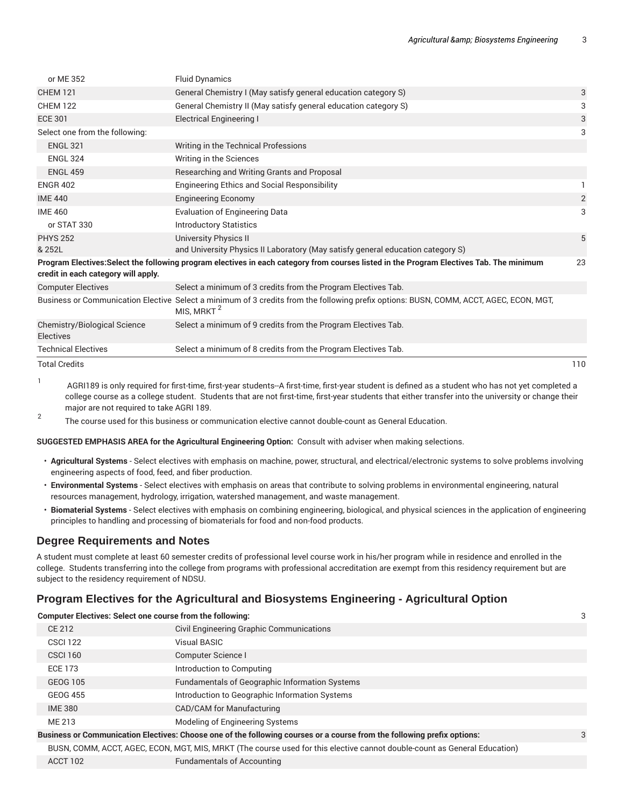| or ME 352                                 | <b>Fluid Dynamics</b>                                                                                                                                            |                |
|-------------------------------------------|------------------------------------------------------------------------------------------------------------------------------------------------------------------|----------------|
| <b>CHEM 121</b>                           | General Chemistry I (May satisfy general education category S)                                                                                                   | 3              |
| <b>CHEM 122</b>                           | General Chemistry II (May satisfy general education category S)                                                                                                  | 3              |
| <b>ECE 301</b>                            | <b>Electrical Engineering I</b>                                                                                                                                  | 3              |
| Select one from the following:            |                                                                                                                                                                  | 3              |
| <b>ENGL 321</b>                           | Writing in the Technical Professions                                                                                                                             |                |
| <b>ENGL 324</b>                           | Writing in the Sciences                                                                                                                                          |                |
| <b>ENGL 459</b>                           | Researching and Writing Grants and Proposal                                                                                                                      |                |
| <b>ENGR 402</b>                           | <b>Engineering Ethics and Social Responsibility</b>                                                                                                              | 1.             |
| <b>IME 440</b>                            | <b>Engineering Economy</b>                                                                                                                                       | $\overline{c}$ |
| <b>IME 460</b>                            | <b>Evaluation of Engineering Data</b>                                                                                                                            | 3              |
| or STAT 330                               | <b>Introductory Statistics</b>                                                                                                                                   |                |
| <b>PHYS 252</b>                           | <b>University Physics II</b>                                                                                                                                     | 5              |
| & 252L                                    | and University Physics II Laboratory (May satisfy general education category S)                                                                                  |                |
| credit in each category will apply.       | Program Electives:Select the following program electives in each category from courses listed in the Program Electives Tab. The minimum                          | 23             |
| <b>Computer Electives</b>                 | Select a minimum of 3 credits from the Program Electives Tab.                                                                                                    |                |
|                                           | Business or Communication Elective Select a minimum of 3 credits from the following prefix options: BUSN, COMM, ACCT, AGEC, ECON, MGT,<br>MIS, MRKT <sup>2</sup> |                |
| Chemistry/Biological Science<br>Electives | Select a minimum of 9 credits from the Program Electives Tab.                                                                                                    |                |
| <b>Technical Electives</b>                | Select a minimum of 8 credits from the Program Electives Tab.                                                                                                    |                |
| <b>Total Credits</b>                      |                                                                                                                                                                  | 110            |

1 AGRI189 is only required for first-time, first-year students--A first-time, first-year student is defined as a student who has not yet completed a college course as a college student. Students that are not first-time, first-year students that either transfer into the university or change their major are not required to take AGRI 189.

2 The course used for this business or communication elective cannot double-count as General Education.

**SUGGESTED EMPHASIS AREA for the Agricultural Engineering Option:**  Consult with adviser when making selections.

- **Agricultural Systems** Select electives with emphasis on machine, power, structural, and electrical/electronic systems to solve problems involving engineering aspects of food, feed, and fiber production.
- **Environmental Systems** Select electives with emphasis on areas that contribute to solving problems in environmental engineering, natural resources management, hydrology, irrigation, watershed management, and waste management.
- **Biomaterial Systems** Select electives with emphasis on combining engineering, biological, and physical sciences in the application of engineering principles to handling and processing of biomaterials for food and non-food products.

## **Degree Requirements and Notes**

A student must complete at least 60 semester credits of professional level course work in his/her program while in residence and enrolled in the college. Students transferring into the college from programs with professional accreditation are exempt from this residency requirement but are subject to the residency requirement of NDSU.

## **Program Electives for the Agricultural and Biosystems Engineering - Agricultural Option**

| <b>Computer Electives: Select one course from the following:</b>                                                        |                                                       |  |
|-------------------------------------------------------------------------------------------------------------------------|-------------------------------------------------------|--|
| CE 212                                                                                                                  | Civil Engineering Graphic Communications              |  |
| <b>CSCI 122</b>                                                                                                         | <b>Visual BASIC</b>                                   |  |
| <b>CSCI 160</b>                                                                                                         | Computer Science I                                    |  |
| <b>ECE 173</b>                                                                                                          | Introduction to Computing                             |  |
| GEOG 105                                                                                                                | <b>Fundamentals of Geographic Information Systems</b> |  |
| <b>GEOG 455</b>                                                                                                         | Introduction to Geographic Information Systems        |  |
| <b>IME 380</b>                                                                                                          | CAD/CAM for Manufacturing                             |  |
| ME 213                                                                                                                  | Modeling of Engineering Systems                       |  |
| Business or Communication Electives: Choose one of the following courses or a course from the following prefix options: |                                                       |  |
|                                                                                                                         |                                                       |  |

BUSN, COMM, ACCT, AGEC, ECON, MGT, MIS, MRKT (The course used for this elective cannot double-count as General Education)

ACCT 102 Fundamentals of Accounting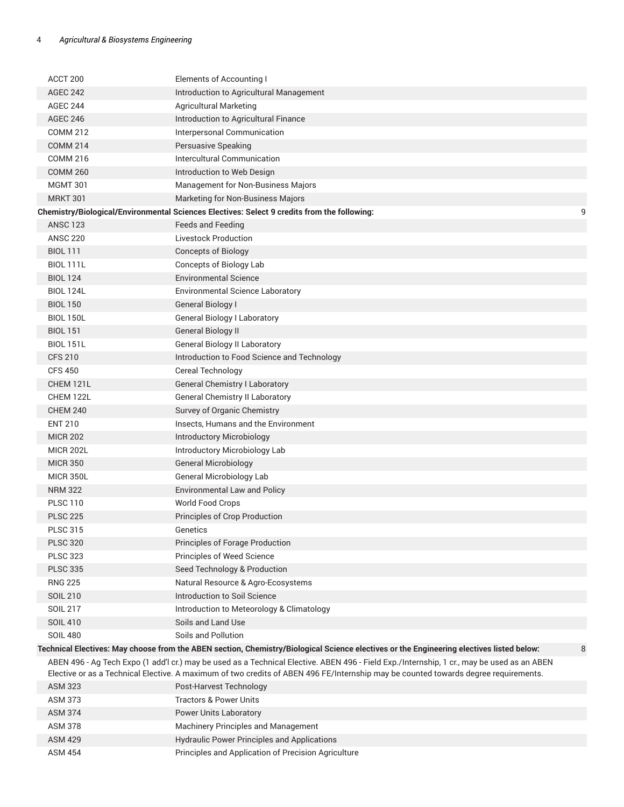| ACCT 200                           | <b>Elements of Accounting I</b>                                                                                                            |   |
|------------------------------------|--------------------------------------------------------------------------------------------------------------------------------------------|---|
| <b>AGEC 242</b>                    | Introduction to Agricultural Management                                                                                                    |   |
| <b>AGEC 244</b>                    | <b>Agricultural Marketing</b>                                                                                                              |   |
| <b>AGEC 246</b>                    | Introduction to Agricultural Finance                                                                                                       |   |
| <b>COMM 212</b>                    | Interpersonal Communication                                                                                                                |   |
| <b>COMM 214</b>                    | Persuasive Speaking                                                                                                                        |   |
| <b>COMM 216</b>                    | Intercultural Communication                                                                                                                |   |
| <b>COMM 260</b>                    | Introduction to Web Design                                                                                                                 |   |
| <b>MGMT 301</b>                    | Management for Non-Business Majors                                                                                                         |   |
| <b>MRKT 301</b>                    | Marketing for Non-Business Majors                                                                                                          |   |
|                                    | Chemistry/Biological/Environmental Sciences Electives: Select 9 credits from the following:                                                | 9 |
| <b>ANSC 123</b>                    | <b>Feeds and Feeding</b>                                                                                                                   |   |
| <b>ANSC 220</b>                    | <b>Livestock Production</b>                                                                                                                |   |
| <b>BIOL 111</b>                    | <b>Concepts of Biology</b>                                                                                                                 |   |
| <b>BIOL 111L</b>                   | Concepts of Biology Lab                                                                                                                    |   |
| <b>BIOL 124</b>                    | <b>Environmental Science</b>                                                                                                               |   |
| <b>BIOL 124L</b>                   | Environmental Science Laboratory                                                                                                           |   |
| <b>BIOL 150</b>                    | General Biology I                                                                                                                          |   |
| <b>BIOL 150L</b>                   | <b>General Biology I Laboratory</b>                                                                                                        |   |
| <b>BIOL 151</b>                    | <b>General Biology II</b>                                                                                                                  |   |
| <b>BIOL 151L</b>                   | <b>General Biology II Laboratory</b>                                                                                                       |   |
| <b>CFS 210</b>                     | Introduction to Food Science and Technology                                                                                                |   |
| <b>CFS 450</b>                     | Cereal Technology                                                                                                                          |   |
| CHEM 121L                          | <b>General Chemistry I Laboratory</b>                                                                                                      |   |
| CHEM 122L                          | <b>General Chemistry II Laboratory</b>                                                                                                     |   |
| <b>CHEM 240</b>                    | Survey of Organic Chemistry                                                                                                                |   |
| <b>ENT 210</b>                     | Insects, Humans and the Environment                                                                                                        |   |
| <b>MICR 202</b>                    | Introductory Microbiology                                                                                                                  |   |
| <b>MICR 202L</b>                   | Introductory Microbiology Lab                                                                                                              |   |
| <b>MICR 350</b>                    | <b>General Microbiology</b>                                                                                                                |   |
| <b>MICR 350L</b>                   | <b>General Microbiology Lab</b>                                                                                                            |   |
| <b>NRM 322</b>                     | <b>Environmental Law and Policy</b>                                                                                                        |   |
| <b>PLSC 110</b>                    | World Food Crops                                                                                                                           |   |
| <b>PLSC 225</b>                    | Principles of Crop Production                                                                                                              |   |
| <b>PLSC 315</b>                    | Genetics                                                                                                                                   |   |
| <b>PLSC 320</b>                    | Principles of Forage Production                                                                                                            |   |
| <b>PLSC 323</b>                    | Principles of Weed Science                                                                                                                 |   |
| <b>PLSC 335</b>                    |                                                                                                                                            |   |
| <b>RNG 225</b>                     | Seed Technology & Production                                                                                                               |   |
| <b>SOIL 210</b>                    | Natural Resource & Agro-Ecosystems<br>Introduction to Soil Science                                                                         |   |
| <b>SOIL 217</b>                    |                                                                                                                                            |   |
|                                    | Introduction to Meteorology & Climatology<br>Soils and Land Use                                                                            |   |
| <b>SOIL 410</b><br><b>SOIL 480</b> | Soils and Pollution                                                                                                                        |   |
|                                    | Technical Electives: May choose from the ABEN section, Chemistry/Biological Science electives or the Engineering electives listed below:   | 8 |
|                                    | ABEN 496 - Ag Tech Expo (1 add'l cr.) may be used as a Technical Elective. ABEN 496 - Field Exp./Internship, 1 cr., may be used as an ABEN |   |
|                                    | Elective or as a Technical Elective. A maximum of two credits of ABEN 496 FE/Internship may be counted towards degree requirements.        |   |
| ASM 323                            | Post-Harvest Technology                                                                                                                    |   |
| <b>ASM 373</b>                     | <b>Tractors &amp; Power Units</b>                                                                                                          |   |
| <b>ASM 374</b>                     | <b>Power Units Laboratory</b>                                                                                                              |   |
| ASM 378                            | Machinery Principles and Management                                                                                                        |   |
| <b>ASM 429</b>                     | <b>Hydraulic Power Principles and Applications</b>                                                                                         |   |
| <b>ASM 454</b>                     | Principles and Application of Precision Agriculture                                                                                        |   |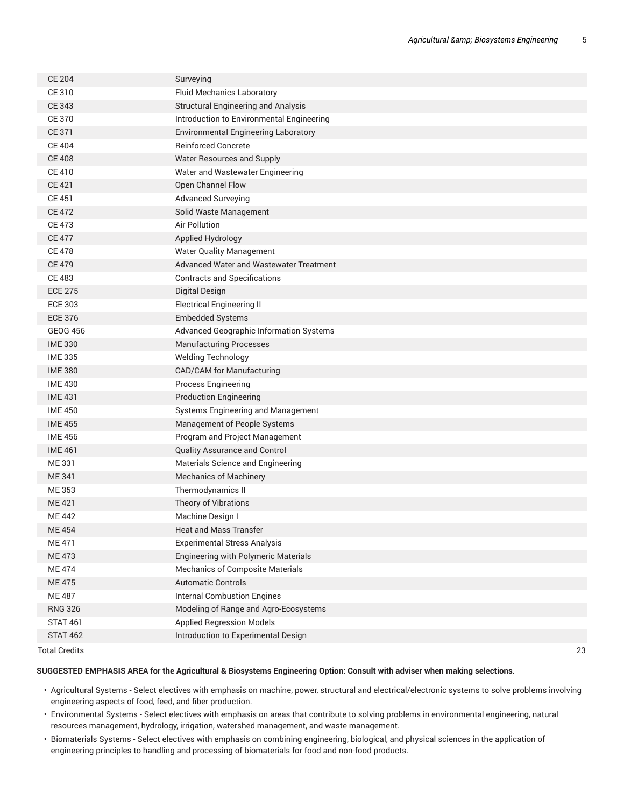| <b>CE 204</b>   | Surveying                                   |
|-----------------|---------------------------------------------|
| CE 310          | <b>Fluid Mechanics Laboratory</b>           |
| CE 343          | <b>Structural Engineering and Analysis</b>  |
| <b>CE 370</b>   | Introduction to Environmental Engineering   |
| CE 371          | <b>Environmental Engineering Laboratory</b> |
| <b>CE 404</b>   | <b>Reinforced Concrete</b>                  |
| <b>CE 408</b>   | Water Resources and Supply                  |
| <b>CE 410</b>   | Water and Wastewater Engineering            |
| <b>CE 421</b>   | Open Channel Flow                           |
| <b>CE 451</b>   | <b>Advanced Surveying</b>                   |
| <b>CE 472</b>   | Solid Waste Management                      |
| <b>CE 473</b>   | <b>Air Pollution</b>                        |
| <b>CE 477</b>   | Applied Hydrology                           |
| <b>CE 478</b>   | <b>Water Quality Management</b>             |
| <b>CE 479</b>   | Advanced Water and Wastewater Treatment     |
| <b>CE 483</b>   | <b>Contracts and Specifications</b>         |
| <b>ECE 275</b>  | <b>Digital Design</b>                       |
| <b>ECE 303</b>  | <b>Electrical Engineering II</b>            |
| <b>ECE 376</b>  | <b>Embedded Systems</b>                     |
| <b>GEOG 456</b> | Advanced Geographic Information Systems     |
| <b>IME 330</b>  | <b>Manufacturing Processes</b>              |
| <b>IME 335</b>  | <b>Welding Technology</b>                   |
| <b>IME 380</b>  | CAD/CAM for Manufacturing                   |
| <b>IME 430</b>  | Process Engineering                         |
| <b>IME 431</b>  | <b>Production Engineering</b>               |
| <b>IME 450</b>  | Systems Engineering and Management          |
| <b>IME 455</b>  | Management of People Systems                |
| <b>IME 456</b>  | Program and Project Management              |
| <b>IME 461</b>  | Quality Assurance and Control               |
| ME 331          | Materials Science and Engineering           |
| ME 341          | <b>Mechanics of Machinery</b>               |
| ME 353          | Thermodynamics II                           |
| ME 421          | Theory of Vibrations                        |
| ME 442          | Machine Design I                            |
| ME 454          | <b>Heat and Mass Transfer</b>               |
| ME 471          | <b>Experimental Stress Analysis</b>         |
| ME 473          | <b>Engineering with Polymeric Materials</b> |
| <b>ME474</b>    | Mechanics of Composite Materials            |
| <b>ME475</b>    | <b>Automatic Controls</b>                   |
| <b>ME 487</b>   | <b>Internal Combustion Engines</b>          |
| <b>RNG 326</b>  | Modeling of Range and Agro-Ecosystems       |
| <b>STAT 461</b> | <b>Applied Regression Models</b>            |
| <b>STAT 462</b> | Introduction to Experimental Design         |

#### Total Credits 23

#### **SUGGESTED EMPHASIS AREA for the Agricultural & Biosystems Engineering Option: Consult with adviser when making selections.**

- Agricultural Systems Select electives with emphasis on machine, power, structural and electrical/electronic systems to solve problems involving engineering aspects of food, feed, and fiber production.
- Environmental Systems Select electives with emphasis on areas that contribute to solving problems in environmental engineering, natural resources management, hydrology, irrigation, watershed management, and waste management.
- Biomaterials Systems Select electives with emphasis on combining engineering, biological, and physical sciences in the application of engineering principles to handling and processing of biomaterials for food and non-food products.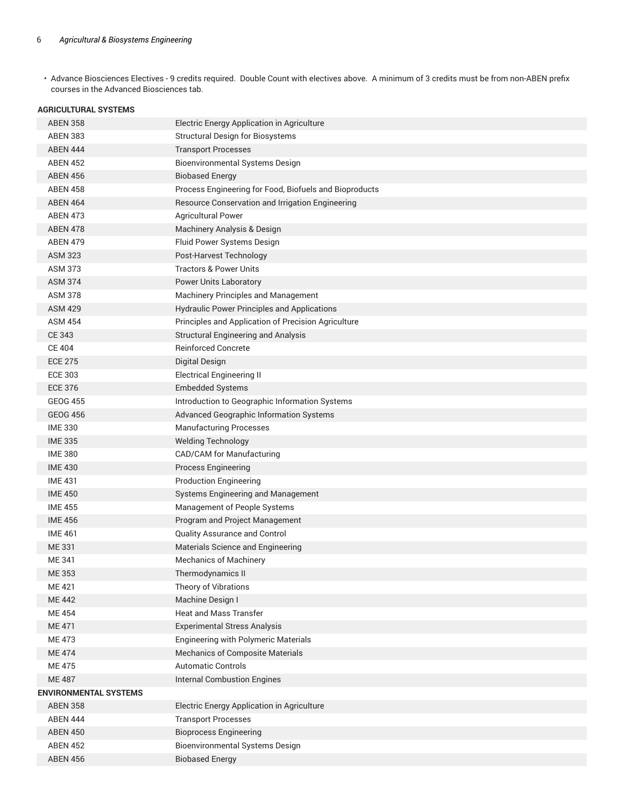• Advance Biosciences Electives - 9 credits required. Double Count with electives above. A minimum of 3 credits must be from non-ABEN prefix courses in the Advanced Biosciences tab.

#### **AGRICULTURAL SYSTEMS**

| <b>ABEN 358</b>       | Electric Energy Application in Agriculture             |
|-----------------------|--------------------------------------------------------|
| <b>ABEN 383</b>       | <b>Structural Design for Biosystems</b>                |
| <b>ABEN 444</b>       | <b>Transport Processes</b>                             |
| <b>ABEN 452</b>       | <b>Bioenvironmental Systems Design</b>                 |
| <b>ABEN 456</b>       | <b>Biobased Energy</b>                                 |
| <b>ABEN 458</b>       | Process Engineering for Food, Biofuels and Bioproducts |
| <b>ABEN 464</b>       | Resource Conservation and Irrigation Engineering       |
| <b>ABEN 473</b>       | <b>Agricultural Power</b>                              |
| <b>ABEN 478</b>       | Machinery Analysis & Design                            |
| <b>ABEN 479</b>       | Fluid Power Systems Design                             |
| <b>ASM 323</b>        | Post-Harvest Technology                                |
| <b>ASM 373</b>        | <b>Tractors &amp; Power Units</b>                      |
| <b>ASM 374</b>        | <b>Power Units Laboratory</b>                          |
| <b>ASM 378</b>        | Machinery Principles and Management                    |
| <b>ASM 429</b>        | <b>Hydraulic Power Principles and Applications</b>     |
| <b>ASM 454</b>        | Principles and Application of Precision Agriculture    |
| <b>CE 343</b>         | <b>Structural Engineering and Analysis</b>             |
| <b>CE 404</b>         | <b>Reinforced Concrete</b>                             |
| <b>ECE 275</b>        | <b>Digital Design</b>                                  |
| <b>ECE 303</b>        | <b>Electrical Engineering II</b>                       |
| <b>ECE 376</b>        | <b>Embedded Systems</b>                                |
| <b>GEOG 455</b>       | Introduction to Geographic Information Systems         |
| <b>GEOG 456</b>       | <b>Advanced Geographic Information Systems</b>         |
| <b>IME 330</b>        | <b>Manufacturing Processes</b>                         |
| <b>IME 335</b>        | <b>Welding Technology</b>                              |
| <b>IME 380</b>        | CAD/CAM for Manufacturing                              |
| <b>IME 430</b>        | <b>Process Engineering</b>                             |
| <b>IME 431</b>        | <b>Production Engineering</b>                          |
| <b>IME 450</b>        | Systems Engineering and Management                     |
| <b>IME 455</b>        | Management of People Systems                           |
| <b>IME 456</b>        | Program and Project Management                         |
| <b>IME 461</b>        | Quality Assurance and Control                          |
| ME 331                | Materials Science and Engineering                      |
| ME 341                | <b>Mechanics of Machinery</b>                          |
| ME 353                | Thermodynamics II                                      |
| ME 421                | Theory of Vibrations                                   |
| <b>ME 442</b>         | Machine Design I                                       |
| <b>ME454</b>          | <b>Heat and Mass Transfer</b>                          |
| <b>ME 471</b>         | <b>Experimental Stress Analysis</b>                    |
| ME 473                | <b>Engineering with Polymeric Materials</b>            |
| <b>ME474</b>          | <b>Mechanics of Composite Materials</b>                |
| <b>ME475</b>          | <b>Automatic Controls</b>                              |
| <b>ME 487</b>         | <b>Internal Combustion Engines</b>                     |
| ENVIRONMENTAL SYSTEMS |                                                        |
| <b>ABEN 358</b>       | Electric Energy Application in Agriculture             |
| ABEN 444              | <b>Transport Processes</b>                             |
| <b>ABEN 450</b>       | <b>Bioprocess Engineering</b>                          |
| <b>ABEN 452</b>       | <b>Bioenvironmental Systems Design</b>                 |
| <b>ABEN 456</b>       | <b>Biobased Energy</b>                                 |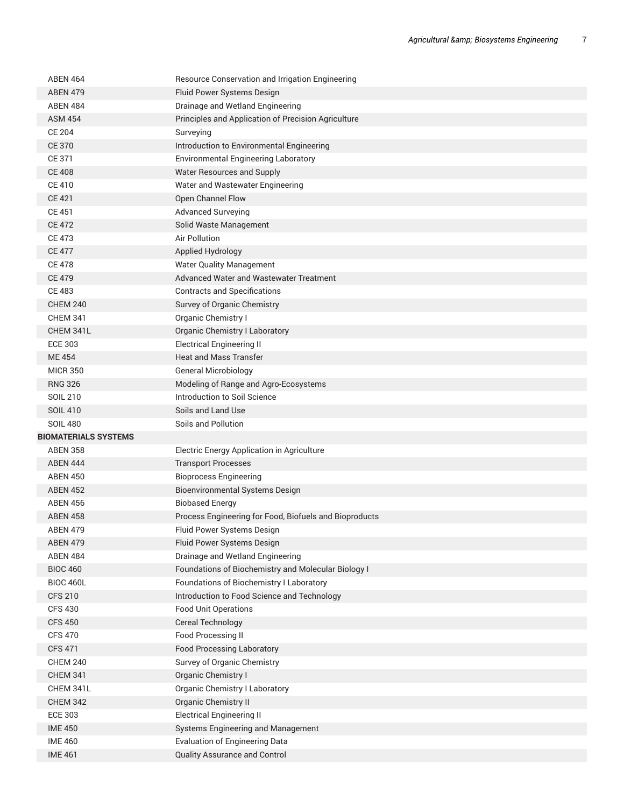| <b>ABEN 464</b>                  | Resource Conservation and Irrigation Engineering                       |
|----------------------------------|------------------------------------------------------------------------|
| <b>ABEN 479</b>                  | Fluid Power Systems Design                                             |
| <b>ABEN 484</b>                  | Drainage and Wetland Engineering                                       |
| <b>ASM 454</b>                   | Principles and Application of Precision Agriculture                    |
| <b>CE 204</b>                    | Surveying                                                              |
| <b>CE 370</b>                    | Introduction to Environmental Engineering                              |
| CE 371                           | <b>Environmental Engineering Laboratory</b>                            |
| <b>CE 408</b>                    | Water Resources and Supply                                             |
| <b>CE 410</b>                    | Water and Wastewater Engineering                                       |
| <b>CE 421</b>                    | Open Channel Flow                                                      |
| <b>CE 451</b>                    | <b>Advanced Surveying</b>                                              |
| <b>CE 472</b>                    | Solid Waste Management                                                 |
| <b>CE 473</b>                    | Air Pollution                                                          |
| <b>CE 477</b>                    | Applied Hydrology                                                      |
| <b>CE 478</b>                    | <b>Water Quality Management</b>                                        |
| <b>CE 479</b>                    | Advanced Water and Wastewater Treatment                                |
| <b>CE 483</b>                    | <b>Contracts and Specifications</b>                                    |
| <b>CHEM 240</b>                  | Survey of Organic Chemistry                                            |
| <b>CHEM 341</b>                  | Organic Chemistry I                                                    |
| CHEM 341L                        | <b>Organic Chemistry I Laboratory</b>                                  |
| <b>ECE 303</b>                   | <b>Electrical Engineering II</b>                                       |
| <b>ME454</b>                     | <b>Heat and Mass Transfer</b>                                          |
| <b>MICR 350</b>                  | <b>General Microbiology</b>                                            |
| <b>RNG 326</b>                   | Modeling of Range and Agro-Ecosystems                                  |
| SOIL 210                         | Introduction to Soil Science                                           |
| <b>SOIL 410</b>                  | Soils and Land Use                                                     |
|                                  |                                                                        |
| <b>SOIL 480</b>                  | Soils and Pollution                                                    |
| <b>BIOMATERIALS SYSTEMS</b>      |                                                                        |
| <b>ABEN 358</b>                  | Electric Energy Application in Agriculture                             |
| <b>ABEN 444</b>                  | <b>Transport Processes</b>                                             |
| <b>ABEN 450</b>                  | <b>Bioprocess Engineering</b>                                          |
| <b>ABEN 452</b>                  | Bioenvironmental Systems Design                                        |
| <b>ABEN 456</b>                  | <b>Biobased Energy</b>                                                 |
| <b>ABEN 458</b>                  | Process Engineering for Food, Biofuels and Bioproducts                 |
| ABEN 479                         | Fluid Power Systems Design                                             |
| <b>ABEN 479</b>                  | Fluid Power Systems Design                                             |
| <b>ABEN 484</b>                  | Drainage and Wetland Engineering                                       |
| <b>BIOC 460</b>                  | Foundations of Biochemistry and Molecular Biology I                    |
| <b>BIOC 460L</b>                 | Foundations of Biochemistry I Laboratory                               |
| <b>CFS 210</b>                   | Introduction to Food Science and Technology                            |
| <b>CFS 430</b>                   | <b>Food Unit Operations</b>                                            |
| <b>CFS 450</b>                   | Cereal Technology                                                      |
| <b>CFS 470</b>                   | Food Processing II                                                     |
| <b>CFS 471</b>                   | <b>Food Processing Laboratory</b>                                      |
| <b>CHEM 240</b>                  | Survey of Organic Chemistry                                            |
| <b>CHEM 341</b>                  | Organic Chemistry I                                                    |
| CHEM 341L                        | Organic Chemistry I Laboratory                                         |
| <b>CHEM 342</b>                  | Organic Chemistry II                                                   |
| <b>ECE 303</b>                   | <b>Electrical Engineering II</b>                                       |
| <b>IME 450</b>                   | Systems Engineering and Management                                     |
| <b>IME 460</b><br><b>IME 461</b> | <b>Evaluation of Engineering Data</b><br>Quality Assurance and Control |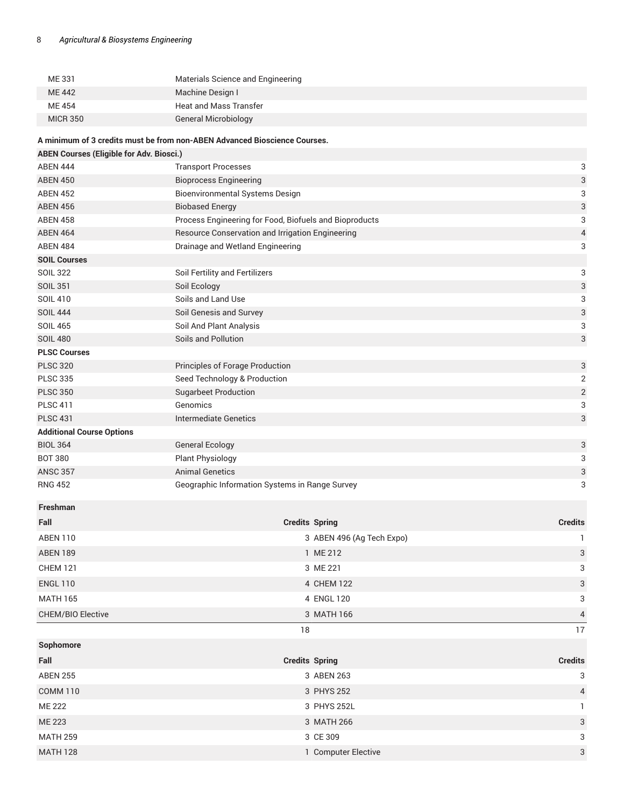| ME 331          | Materials Science and Engineering |
|-----------------|-----------------------------------|
| <b>ME442</b>    | Machine Design I                  |
| ME 454          | Heat and Mass Transfer            |
| <b>MICR 350</b> | General Microbiology              |
|                 |                                   |

### **A minimum of 3 credits must be from non-ABEN Advanced Bioscience Courses.**

| <b>ABEN Courses (Eligible for Adv. Biosci.)</b> |                                                        |                           |  |
|-------------------------------------------------|--------------------------------------------------------|---------------------------|--|
| <b>ABEN 444</b>                                 | <b>Transport Processes</b>                             | 3                         |  |
| <b>ABEN 450</b>                                 | <b>Bioprocess Engineering</b>                          | 3                         |  |
| <b>ABEN 452</b>                                 | <b>Bioenvironmental Systems Design</b>                 | 3                         |  |
| <b>ABEN 456</b>                                 | <b>Biobased Energy</b>                                 | $\ensuremath{\mathsf{3}}$ |  |
| <b>ABEN 458</b>                                 | Process Engineering for Food, Biofuels and Bioproducts | 3                         |  |
| <b>ABEN 464</b>                                 | Resource Conservation and Irrigation Engineering       | $\overline{\mathcal{L}}$  |  |
| <b>ABEN 484</b>                                 | Drainage and Wetland Engineering                       | 3                         |  |
| <b>SOIL Courses</b>                             |                                                        |                           |  |
| <b>SOIL 322</b>                                 | Soil Fertility and Fertilizers                         | 3                         |  |
| <b>SOIL 351</b>                                 | Soil Ecology                                           | $\ensuremath{\mathsf{3}}$ |  |
| <b>SOIL 410</b>                                 | Soils and Land Use                                     | 3                         |  |
| <b>SOIL 444</b>                                 | Soil Genesis and Survey                                | $\ensuremath{\mathsf{3}}$ |  |
| <b>SOIL 465</b>                                 | Soil And Plant Analysis                                | 3                         |  |
| <b>SOIL 480</b>                                 | Soils and Pollution                                    | 3                         |  |
| <b>PLSC Courses</b>                             |                                                        |                           |  |
| <b>PLSC 320</b>                                 | Principles of Forage Production                        | $\ensuremath{\mathsf{3}}$ |  |
| <b>PLSC 335</b>                                 | Seed Technology & Production                           | $\mathbf 2$               |  |
| <b>PLSC 350</b>                                 | <b>Sugarbeet Production</b>                            | $\overline{\mathbf{c}}$   |  |
| <b>PLSC 411</b>                                 | Genomics                                               | 3                         |  |
| <b>PLSC 431</b>                                 | Intermediate Genetics                                  | $\ensuremath{\mathsf{3}}$ |  |
| <b>Additional Course Options</b>                |                                                        |                           |  |
| <b>BIOL 364</b>                                 | <b>General Ecology</b>                                 | $\ensuremath{\mathsf{3}}$ |  |
| <b>BOT 380</b>                                  | <b>Plant Physiology</b>                                | 3                         |  |
| <b>ANSC 357</b>                                 | <b>Animal Genetics</b>                                 | 3                         |  |
| <b>RNG 452</b>                                  | Geographic Information Systems in Range Survey         | 3                         |  |
| <b>Freshman</b>                                 |                                                        |                           |  |

| Fall                     | <b>Credits Spring</b>     | <b>Credits</b> |
|--------------------------|---------------------------|----------------|
| ABEN 110                 | 3 ABEN 496 (Ag Tech Expo) |                |
| <b>ABEN 189</b>          | 1 ME 212                  | $\mathbf{3}$   |
| <b>CHEM 121</b>          | 3 ME 221                  | 3              |
| <b>ENGL 110</b>          | 4 CHEM 122                | $\overline{3}$ |
| <b>MATH 165</b>          | 4 ENGL 120                | 3              |
| <b>CHEM/BIO Elective</b> | 3 MATH 166                | $\overline{4}$ |
|                          | 18                        | 17             |
| Sophomore                |                           |                |
| Fall                     | <b>Credits Spring</b>     | <b>Credits</b> |
| <b>ABEN 255</b>          | 3 ABEN 263                | 3              |
| <b>COMM 110</b>          | 3 PHYS 252                | $\overline{4}$ |
| <b>ME 222</b>            | 3 PHYS 252L               |                |
| ME 223                   | 3 MATH 266                | $\mathbf{3}$   |
| <b>MATH 259</b>          | 3 CE 309                  | 3              |

MATH 128 **1 Computer Elective** 3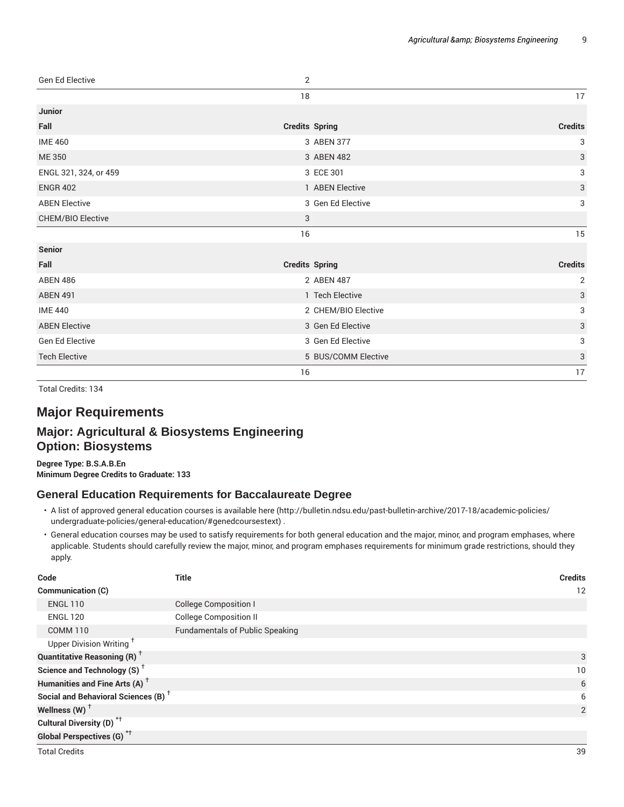| Gen Ed Elective          | $\overline{2}$        |                           |
|--------------------------|-----------------------|---------------------------|
|                          | 18                    | 17                        |
| <b>Junior</b>            |                       |                           |
| Fall                     | <b>Credits Spring</b> | <b>Credits</b>            |
| <b>IME 460</b>           | 3 ABEN 377            | 3                         |
| ME 350                   | 3 ABEN 482            | 3                         |
| ENGL 321, 324, or 459    | 3 ECE 301             | 3                         |
| <b>ENGR 402</b>          | 1 ABEN Elective       | $\sqrt{3}$                |
| <b>ABEN Elective</b>     | 3 Gen Ed Elective     | 3                         |
| <b>CHEM/BIO Elective</b> | 3                     |                           |
|                          | 16                    | 15                        |
| <b>Senior</b>            |                       |                           |
| Fall                     | <b>Credits Spring</b> | <b>Credits</b>            |
| <b>ABEN 486</b>          | 2 ABEN 487            | $\overline{2}$            |
| <b>ABEN 491</b>          | 1 Tech Elective       | $\mathfrak{S}$            |
| <b>IME 440</b>           | 2 CHEM/BIO Elective   | 3                         |
| <b>ABEN Elective</b>     | 3 Gen Ed Elective     | $\sqrt{3}$                |
| <b>Gen Ed Elective</b>   | 3 Gen Ed Elective     | 3                         |
| <b>Tech Elective</b>     | 5 BUS/COMM Elective   | $\ensuremath{\mathsf{3}}$ |
|                          | 16                    | 17                        |

Total Credits: 134

# **Major Requirements**

## **Major: Agricultural & Biosystems Engineering Option: Biosystems**

**Degree Type: B.S.A.B.En Minimum Degree Credits to Graduate: 133**

## **General Education Requirements for Baccalaureate Degree**

- A list of approved general education courses is available here (http://bulletin.ndsu.edu/past-bulletin-archive/2017-18/academic-policies/ undergraduate-policies/general-education/#genedcoursestext) .
- General education courses may be used to satisfy requirements for both general education and the major, minor, and program emphases, where applicable. Students should carefully review the major, minor, and program emphases requirements for minimum grade restrictions, should they apply.

| Code                                            | <b>Title</b>                           | <b>Credits</b> |
|-------------------------------------------------|----------------------------------------|----------------|
| <b>Communication (C)</b>                        |                                        | 12             |
| <b>ENGL 110</b>                                 | <b>College Composition I</b>           |                |
| <b>ENGL 120</b>                                 | <b>College Composition II</b>          |                |
| <b>COMM 110</b>                                 | <b>Fundamentals of Public Speaking</b> |                |
| Upper Division Writing <sup>+</sup>             |                                        |                |
| <b>Quantitative Reasoning (R)</b> <sup>†</sup>  |                                        |                |
| Science and Technology $(S)$ <sup>+</sup>       |                                        | 10             |
| Humanities and Fine Arts (A) <sup>+</sup>       |                                        | 6              |
| Social and Behavioral Sciences (B) <sup>+</sup> |                                        | 6              |
| Wellness $(W)$ <sup>+</sup>                     |                                        | 2              |
| Cultural Diversity (D) <sup>*†</sup>            |                                        |                |
| Global Perspectives (G) <sup>*†</sup>           |                                        |                |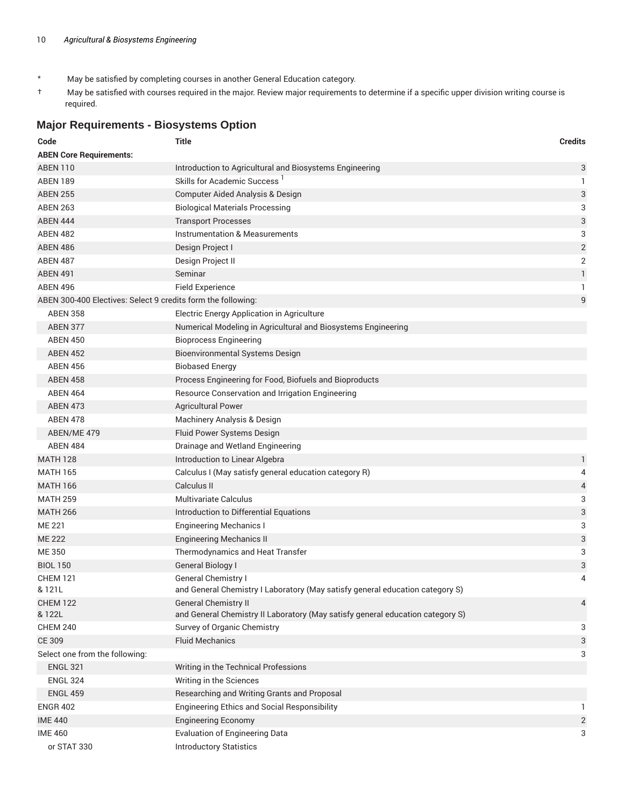- \* May be satisfied by completing courses in another General Education category.
- † May be satisfied with courses required in the major. Review major requirements to determine if a specific upper division writing course is required.

## **Major Requirements - Biosystems Option**

| Code                                                         | <b>Title</b>                                                                                                  | <b>Credits</b>            |
|--------------------------------------------------------------|---------------------------------------------------------------------------------------------------------------|---------------------------|
| <b>ABEN Core Requirements:</b>                               |                                                                                                               |                           |
| <b>ABEN 110</b>                                              | Introduction to Agricultural and Biosystems Engineering                                                       | 3                         |
| <b>ABEN 189</b>                                              | Skills for Academic Success <sup>1</sup>                                                                      | 1                         |
| <b>ABEN 255</b>                                              | Computer Aided Analysis & Design                                                                              | 3                         |
| <b>ABEN 263</b>                                              | <b>Biological Materials Processing</b>                                                                        | 3                         |
| <b>ABEN 444</b>                                              | <b>Transport Processes</b>                                                                                    | $\ensuremath{\mathsf{3}}$ |
| <b>ABEN 482</b>                                              | Instrumentation & Measurements                                                                                | 3                         |
| <b>ABEN 486</b>                                              | Design Project I                                                                                              | $\sqrt{2}$                |
| <b>ABEN 487</b>                                              | Design Project II                                                                                             | $\overline{2}$            |
| <b>ABEN 491</b>                                              | Seminar                                                                                                       | $\mathbf{1}$              |
| <b>ABEN 496</b>                                              | <b>Field Experience</b>                                                                                       | 1                         |
| ABEN 300-400 Electives: Select 9 credits form the following: |                                                                                                               | 9                         |
| <b>ABEN 358</b>                                              | Electric Energy Application in Agriculture                                                                    |                           |
| <b>ABEN 377</b>                                              | Numerical Modeling in Agricultural and Biosystems Engineering                                                 |                           |
| <b>ABEN 450</b>                                              | <b>Bioprocess Engineering</b>                                                                                 |                           |
| <b>ABEN 452</b>                                              | <b>Bioenvironmental Systems Design</b>                                                                        |                           |
| <b>ABEN 456</b>                                              | <b>Biobased Energy</b>                                                                                        |                           |
| <b>ABEN 458</b>                                              | Process Engineering for Food, Biofuels and Bioproducts                                                        |                           |
| <b>ABEN 464</b>                                              | Resource Conservation and Irrigation Engineering                                                              |                           |
| <b>ABEN 473</b>                                              | <b>Agricultural Power</b>                                                                                     |                           |
| <b>ABEN 478</b>                                              | Machinery Analysis & Design                                                                                   |                           |
| ABEN/ME 479                                                  | Fluid Power Systems Design                                                                                    |                           |
| <b>ABEN 484</b>                                              | Drainage and Wetland Engineering                                                                              |                           |
| <b>MATH 128</b>                                              | Introduction to Linear Algebra                                                                                | 1                         |
| <b>MATH 165</b>                                              | Calculus I (May satisfy general education category R)                                                         | 4                         |
| <b>MATH 166</b>                                              | Calculus II                                                                                                   | 4                         |
| <b>MATH 259</b>                                              | <b>Multivariate Calculus</b>                                                                                  | 3                         |
| <b>MATH 266</b>                                              | Introduction to Differential Equations                                                                        | 3                         |
| <b>ME 221</b>                                                | <b>Engineering Mechanics I</b>                                                                                | 3                         |
| <b>ME 222</b>                                                | <b>Engineering Mechanics II</b>                                                                               | $\ensuremath{\mathsf{3}}$ |
| ME 350                                                       | Thermodynamics and Heat Transfer                                                                              | 3                         |
| <b>BIOL 150</b>                                              | <b>General Biology I</b>                                                                                      | 3                         |
| <b>CHEM 121</b><br>& 121L                                    | <b>General Chemistry I</b><br>and General Chemistry I Laboratory (May satisfy general education category S)   | 4                         |
| <b>CHEM 122</b><br>& 122L                                    | <b>General Chemistry II</b><br>and General Chemistry II Laboratory (May satisfy general education category S) | 4                         |
| <b>CHEM 240</b>                                              | Survey of Organic Chemistry                                                                                   | 3                         |
| <b>CE 309</b>                                                | <b>Fluid Mechanics</b>                                                                                        | 3                         |
| Select one from the following:                               |                                                                                                               | 3                         |
| <b>ENGL 321</b>                                              | Writing in the Technical Professions                                                                          |                           |
| <b>ENGL 324</b>                                              | Writing in the Sciences                                                                                       |                           |
| <b>ENGL 459</b>                                              | Researching and Writing Grants and Proposal                                                                   |                           |
| <b>ENGR 402</b>                                              | Engineering Ethics and Social Responsibility                                                                  | 1.                        |
| <b>IME 440</b>                                               | <b>Engineering Economy</b>                                                                                    | $\overline{2}$            |
| <b>IME 460</b>                                               | <b>Evaluation of Engineering Data</b>                                                                         | 3                         |
| or STAT 330                                                  | <b>Introductory Statistics</b>                                                                                |                           |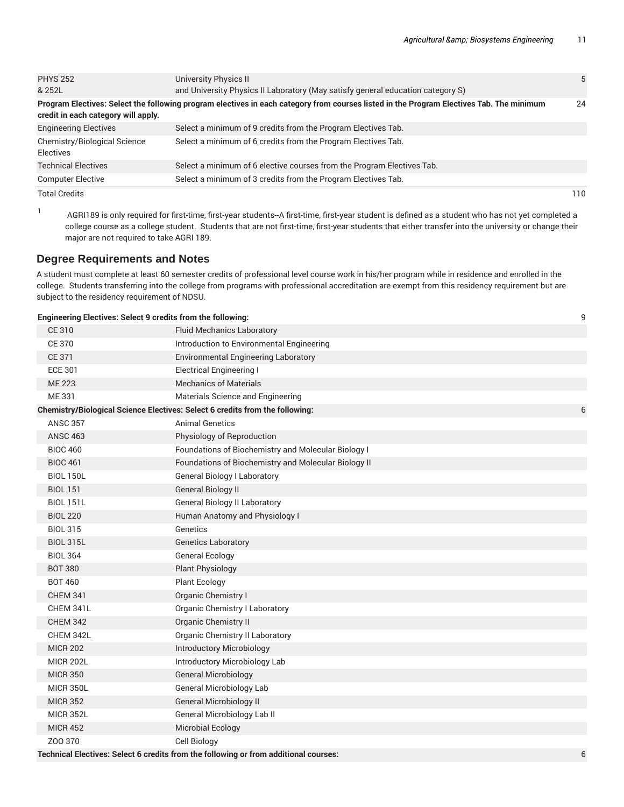| <b>PHYS 252</b>                           | University Physics II                                                                                                                    | 5   |
|-------------------------------------------|------------------------------------------------------------------------------------------------------------------------------------------|-----|
| & 252L                                    | and University Physics II Laboratory (May satisfy general education category S)                                                          |     |
| credit in each category will apply.       | Program Electives: Select the following program electives in each category from courses listed in the Program Electives Tab. The minimum | 24  |
| <b>Engineering Electives</b>              | Select a minimum of 9 credits from the Program Electives Tab.                                                                            |     |
| Chemistry/Biological Science<br>Electives | Select a minimum of 6 credits from the Program Electives Tab.                                                                            |     |
| <b>Technical Electives</b>                | Select a minimum of 6 elective courses from the Program Electives Tab.                                                                   |     |
| <b>Computer Elective</b>                  | Select a minimum of 3 credits from the Program Electives Tab.                                                                            |     |
| <b>Total Credits</b>                      |                                                                                                                                          | 110 |

1

AGRI189 is only required for first-time, first-year students--A first-time, first-year student is defined as a student who has not yet completed a college course as a college student. Students that are not first-time, first-year students that either transfer into the university or change their major are not required to take AGRI 189.

## **Degree Requirements and Notes**

A student must complete at least 60 semester credits of professional level course work in his/her program while in residence and enrolled in the college. Students transferring into the college from programs with professional accreditation are exempt from this residency requirement but are subject to the residency requirement of NDSU.

#### **Engineering Electives: Select 9 credits from the following:** 9

| <b>CE 310</b>    | <b>Fluid Mechanics Laboratory</b>                                                    |   |
|------------------|--------------------------------------------------------------------------------------|---|
| <b>CE 370</b>    | Introduction to Environmental Engineering                                            |   |
| <b>CE 371</b>    | <b>Environmental Engineering Laboratory</b>                                          |   |
| <b>ECE 301</b>   | <b>Electrical Engineering I</b>                                                      |   |
| <b>ME 223</b>    | <b>Mechanics of Materials</b>                                                        |   |
| ME 331           | Materials Science and Engineering                                                    |   |
|                  | Chemistry/Biological Science Electives: Select 6 credits from the following:         | 6 |
| <b>ANSC 357</b>  | <b>Animal Genetics</b>                                                               |   |
| <b>ANSC 463</b>  | Physiology of Reproduction                                                           |   |
| <b>BIOC 460</b>  | Foundations of Biochemistry and Molecular Biology I                                  |   |
| <b>BIOC 461</b>  | Foundations of Biochemistry and Molecular Biology II                                 |   |
| <b>BIOL 150L</b> | <b>General Biology I Laboratory</b>                                                  |   |
| <b>BIOL 151</b>  | <b>General Biology II</b>                                                            |   |
| <b>BIOL 151L</b> | <b>General Biology II Laboratory</b>                                                 |   |
| <b>BIOL 220</b>  | Human Anatomy and Physiology I                                                       |   |
| <b>BIOL 315</b>  | Genetics                                                                             |   |
| <b>BIOL 315L</b> | <b>Genetics Laboratory</b>                                                           |   |
| <b>BIOL 364</b>  | General Ecology                                                                      |   |
| <b>BOT 380</b>   | <b>Plant Physiology</b>                                                              |   |
| <b>BOT 460</b>   | <b>Plant Ecology</b>                                                                 |   |
| <b>CHEM 341</b>  | Organic Chemistry I                                                                  |   |
| CHEM 341L        | Organic Chemistry I Laboratory                                                       |   |
| <b>CHEM 342</b>  | <b>Organic Chemistry II</b>                                                          |   |
| CHEM 342L        | Organic Chemistry II Laboratory                                                      |   |
| <b>MICR 202</b>  | Introductory Microbiology                                                            |   |
| <b>MICR 202L</b> | Introductory Microbiology Lab                                                        |   |
| <b>MICR 350</b>  | <b>General Microbiology</b>                                                          |   |
| <b>MICR 350L</b> | <b>General Microbiology Lab</b>                                                      |   |
| <b>MICR 352</b>  | <b>General Microbiology II</b>                                                       |   |
| <b>MICR 352L</b> | General Microbiology Lab II                                                          |   |
| <b>MICR 452</b>  | <b>Microbial Ecology</b>                                                             |   |
| Z00 370          | <b>Cell Biology</b>                                                                  |   |
|                  | Technical Electives: Select 6 credits from the following or from additional courses: | 6 |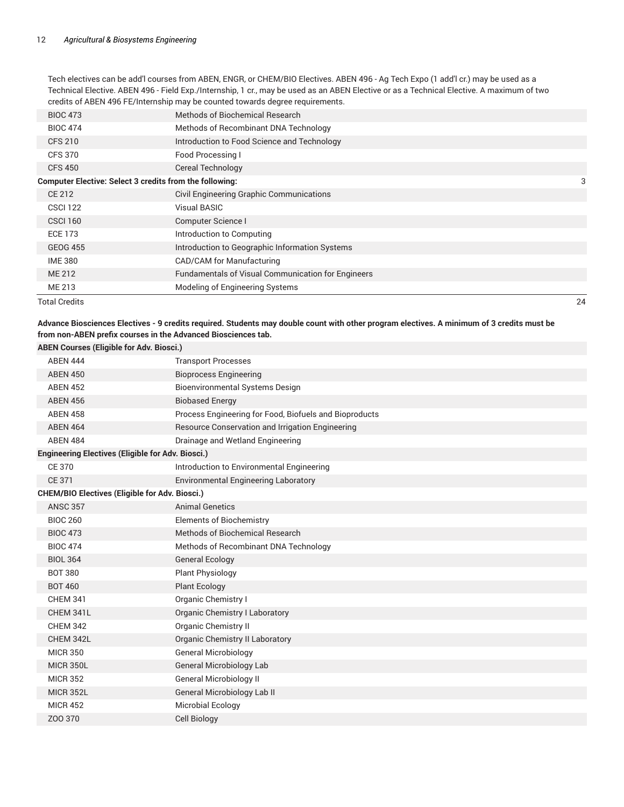Tech electives can be add'l courses from ABEN, ENGR, or CHEM/BIO Electives. ABEN 496 - Ag Tech Expo (1 add'l cr.) may be used as a Technical Elective. ABEN 496 - Field Exp./Internship, 1 cr., may be used as an ABEN Elective or as a Technical Elective. A maximum of two credits of ABEN 496 FE/Internship may be counted towards degree requirements.

|                                                                | Total Credits   |                                                           | 24 |
|----------------------------------------------------------------|-----------------|-----------------------------------------------------------|----|
|                                                                | ME 213          | Modeling of Engineering Systems                           |    |
|                                                                | ME 212          | <b>Fundamentals of Visual Communication for Engineers</b> |    |
|                                                                | <b>IME 380</b>  | CAD/CAM for Manufacturing                                 |    |
|                                                                | <b>GEOG 455</b> | Introduction to Geographic Information Systems            |    |
|                                                                | <b>ECE 173</b>  | Introduction to Computing                                 |    |
|                                                                | <b>CSCI 160</b> | Computer Science I                                        |    |
|                                                                | <b>CSCI 122</b> | <b>Visual BASIC</b>                                       |    |
|                                                                | CE 212          | Civil Engineering Graphic Communications                  |    |
| <b>Computer Elective: Select 3 credits from the following:</b> |                 |                                                           | 3  |
|                                                                | <b>CFS 450</b>  | Cereal Technology                                         |    |
|                                                                | <b>CFS 370</b>  | Food Processing I                                         |    |
|                                                                | <b>CFS 210</b>  | Introduction to Food Science and Technology               |    |
|                                                                | <b>BIOC 474</b> | Methods of Recombinant DNA Technology                     |    |
|                                                                | <b>BIOC 473</b> | Methods of Biochemical Research                           |    |
|                                                                |                 |                                                           |    |

#### Advance Biosciences Electives - 9 credits required. Students may double count with other program electives. A minimum of 3 credits must be **from non-ABEN prefix courses in the Advanced Biosciences tab. ABEN Courses (Eligible for Adv. Biosci.)**

| ABEN Courses (Eligible for Adv. Biosci.)                 |                                                        |  |  |
|----------------------------------------------------------|--------------------------------------------------------|--|--|
| <b>ABEN 444</b>                                          | <b>Transport Processes</b>                             |  |  |
| <b>ABEN 450</b>                                          | <b>Bioprocess Engineering</b>                          |  |  |
| <b>ABEN 452</b>                                          | <b>Bioenvironmental Systems Design</b>                 |  |  |
| <b>ABEN 456</b>                                          | <b>Biobased Energy</b>                                 |  |  |
| <b>ABEN 458</b>                                          | Process Engineering for Food, Biofuels and Bioproducts |  |  |
| <b>ABEN 464</b>                                          | Resource Conservation and Irrigation Engineering       |  |  |
| <b>ABEN 484</b>                                          | Drainage and Wetland Engineering                       |  |  |
| <b>Engineering Electives (Eligible for Adv. Biosci.)</b> |                                                        |  |  |
| <b>CE 370</b>                                            | Introduction to Environmental Engineering              |  |  |
| <b>CE 371</b>                                            | <b>Environmental Engineering Laboratory</b>            |  |  |
| <b>CHEM/BIO Electives (Eligible for Adv. Biosci.)</b>    |                                                        |  |  |
| <b>ANSC 357</b>                                          | <b>Animal Genetics</b>                                 |  |  |
| <b>BIOC 260</b>                                          | <b>Elements of Biochemistry</b>                        |  |  |
| <b>BIOC 473</b>                                          | Methods of Biochemical Research                        |  |  |
| <b>BIOC 474</b>                                          | Methods of Recombinant DNA Technology                  |  |  |
| <b>BIOL 364</b>                                          | <b>General Ecology</b>                                 |  |  |
| <b>BOT 380</b>                                           | <b>Plant Physiology</b>                                |  |  |
| <b>BOT 460</b>                                           | <b>Plant Ecology</b>                                   |  |  |
| <b>CHEM 341</b>                                          | Organic Chemistry I                                    |  |  |
| CHEM 341L                                                | <b>Organic Chemistry I Laboratory</b>                  |  |  |
| <b>CHEM 342</b>                                          | <b>Organic Chemistry II</b>                            |  |  |
| CHEM 342L                                                | Organic Chemistry II Laboratory                        |  |  |
| <b>MICR 350</b>                                          | <b>General Microbiology</b>                            |  |  |
| <b>MICR 350L</b>                                         | General Microbiology Lab                               |  |  |
| <b>MICR 352</b>                                          | General Microbiology II                                |  |  |
| <b>MICR 352L</b>                                         | General Microbiology Lab II                            |  |  |
| <b>MICR 452</b>                                          | Microbial Ecology                                      |  |  |
| Z00 370                                                  | Cell Biology                                           |  |  |
|                                                          |                                                        |  |  |